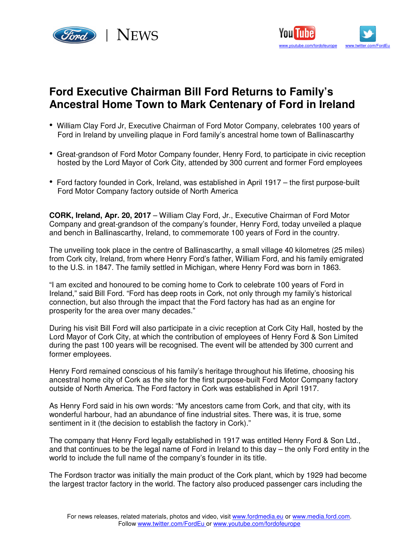



## **Ford Executive Chairman Bill Ford Returns to Family's Ancestral Home Town to Mark Centenary of Ford in Ireland**

- William Clay Ford Jr, Executive Chairman of Ford Motor Company, celebrates 100 years of Ford in Ireland by unveiling plaque in Ford family's ancestral home town of Ballinascarthy
- Great-grandson of Ford Motor Company founder, Henry Ford, to participate in civic reception hosted by the Lord Mayor of Cork City, attended by 300 current and former Ford employees
- Ford factory founded in Cork, Ireland, was established in April 1917 the first purpose-built Ford Motor Company factory outside of North America

**CORK, Ireland, Apr. 20, 2017** – William Clay Ford, Jr., Executive Chairman of Ford Motor Company and great-grandson of the company's founder, Henry Ford, today unveiled a plaque and bench in Ballinascarthy, Ireland, to commemorate 100 years of Ford in the country.

The unveiling took place in the centre of Ballinascarthy, a small village 40 kilometres (25 miles) from Cork city, Ireland, from where Henry Ford's father, William Ford, and his family emigrated to the U.S. in 1847. The family settled in Michigan, where Henry Ford was born in 1863.

"I am excited and honoured to be coming home to Cork to celebrate 100 years of Ford in Ireland," said Bill Ford. "Ford has deep roots in Cork, not only through my family's historical connection, but also through the impact that the Ford factory has had as an engine for prosperity for the area over many decades."

During his visit Bill Ford will also participate in a civic reception at Cork City Hall, hosted by the Lord Mayor of Cork City, at which the contribution of employees of Henry Ford & Son Limited during the past 100 years will be recognised. The event will be attended by 300 current and former employees.

Henry Ford remained conscious of his family's heritage throughout his lifetime, choosing his ancestral home city of Cork as the site for the first purpose-built Ford Motor Company factory outside of North America. The Ford factory in Cork was established in April 1917.

As Henry Ford said in his own words: "My ancestors came from Cork, and that city, with its wonderful harbour, had an abundance of fine industrial sites. There was, it is true, some sentiment in it (the decision to establish the factory in Cork)."

The company that Henry Ford legally established in 1917 was entitled Henry Ford & Son Ltd., and that continues to be the legal name of Ford in Ireland to this day – the only Ford entity in the world to include the full name of the company's founder in its title.

The Fordson tractor was initially the main product of the Cork plant, which by 1929 had become the largest tractor factory in the world. The factory also produced passenger cars including the